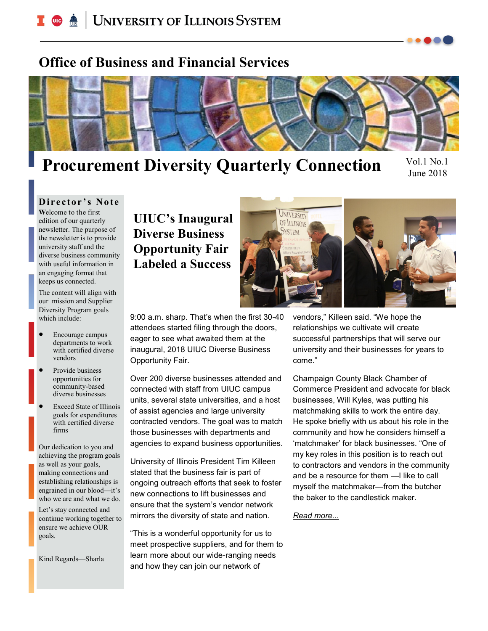# **C** <u>A</u> UNIVERSITY OF ILLINOIS SYSTEM

# **Office of Business and Financial Services**



# **Procurement Diversity Quarterly Connection**

Vol.1 No.1 June 2018

#### **Director's Note**

**W**elcome to the first edition of our quarterly newsletter. The purpose of the newsletter is to provide university staff and the diverse business community with useful information in an engaging format that keeps us connected.

The content will align with our mission and Supplier Diversity Program goals which include:

- Encourage campus departments to work with certified diverse vendors
- Provide business opportunities for community-based diverse businesses
- Exceed State of Illinois goals for expenditures with certified diverse firms

Our dedication to you and achieving the program goals as well as your goals, making connections and establishing relationships is engrained in our blood—it's who we are and what we do.

Let's stay connected and continue working together to ensure we achieve OUR goals.

Kind Regards—Sharla

## **UIUC's Inaugural Diverse Business Opportunity Fair Labeled a Success**



9:00 a.m. sharp. That's when the first 30-40 attendees started filing through the doors, eager to see what awaited them at the inaugural, 2018 UIUC Diverse Business Opportunity Fair.

Over 200 diverse businesses attended and connected with staff from UIUC campus units, several state universities, and a host of assist agencies and large university contracted vendors. The goal was to match those businesses with departments and agencies to expand business opportunities.

University of Illinois President Tim Killeen stated that the business fair is part of ongoing outreach efforts that seek to foster new connections to lift businesses and ensure that the system's vendor network mirrors the diversity of state and nation.

"This is a wonderful opportunity for us to meet prospective suppliers, and for them to learn more about our wide-ranging needs and how they can join our network of

vendors," Killeen said. "We hope the relationships we cultivate will create successful partnerships that will serve our university and their businesses for years to come."

Champaign County Black Chamber of Commerce President and advocate for black businesses, Will Kyles, was putting his matchmaking skills to work the entire day. He spoke briefly with us about his role in the community and how he considers himself a 'matchmaker' for black businesses. "One of my key roles in this position is to reach out to contractors and vendors in the community and be a resource for them —I like to call myself the matchmaker—from the butcher the baker to the candlestick maker.

*Read more...*